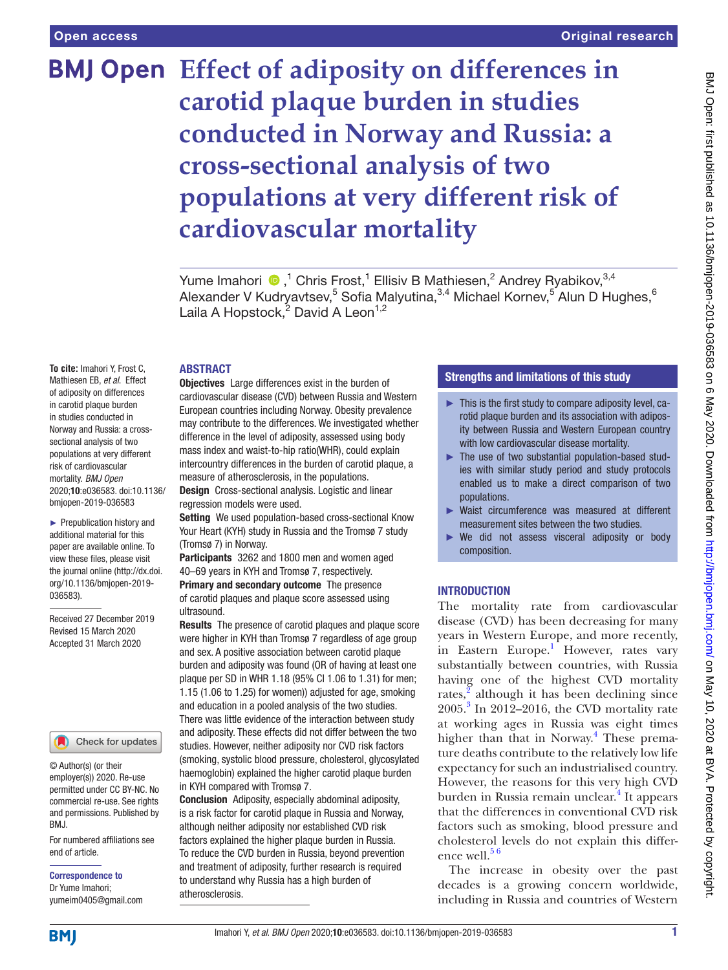# **BMJ Open** Effect of adiposity on differences in **carotid plaque burden in studies conducted in Norway and Russia: a cross-sectional analysis of two populations at very different risk of cardiovascular mortality**

YumeImahori <sup>®</sup>,<sup>1</sup> Chris Frost,<sup>1</sup> Ellisiv B Mathiesen,<sup>2</sup> Andrey Ryabikov,<sup>3,4</sup> Alexander V Kudryavtsev,<sup>5</sup> Sofia Malyutina,<sup>3,4</sup> Michael Kornev,<sup>5</sup> Alun D Hughes,<sup>6</sup> Laila A Hopstock,<sup>2</sup> David A Leon<sup>1,2</sup>

## **ABSTRACT**

**To cite:** Imahori Y, Frost C, Mathiesen EB, *et al*. Effect of adiposity on differences in carotid plaque burden in studies conducted in Norway and Russia: a crosssectional analysis of two populations at very different risk of cardiovascular mortality. *BMJ Open* 2020;10:e036583. doi:10.1136/ bmjopen-2019-036583

► Prepublication history and additional material for this paper are available online. To view these files, please visit the journal online (http://dx.doi. org/10.1136/bmjopen-2019- 036583).

Received 27 December 2019 Revised 15 March 2020 Accepted 31 March 2020



© Author(s) (or their employer(s)) 2020. Re-use permitted under CC BY-NC. No commercial re-use. See rights and permissions. Published by BMJ.

For numbered affiliations see end of article.

Correspondence to Dr Yume Imahori; yumeim0405@gmail.com Objectives Large differences exist in the burden of cardiovascular disease (CVD) between Russia and Western European countries including Norway. Obesity prevalence may contribute to the differences. We investigated whether difference in the level of adiposity, assessed using body mass index and waist-to-hip ratio(WHR), could explain intercountry differences in the burden of carotid plaque, a measure of atherosclerosis, in the populations.

Design Cross-sectional analysis. Logistic and linear regression models were used.

Setting We used population-based cross-sectional Know Your Heart (KYH) study in Russia and the Tromsø 7 study (Tromsø 7) in Norway.

Participants 3262 and 1800 men and women aged 40–69 years in KYH and Tromsø 7, respectively.

Primary and secondary outcome The presence of carotid plaques and plaque score assessed using ultrasound.

Results The presence of carotid plaques and plaque score were higher in KYH than Tromsø 7 regardless of age group and sex. A positive association between carotid plaque burden and adiposity was found (OR of having at least one plaque per SD in WHR 1.18 (95% CI 1.06 to 1.31) for men; 1.15 (1.06 to 1.25) for women)) adjusted for age, smoking and education in a pooled analysis of the two studies. There was little evidence of the interaction between study and adiposity. These effects did not differ between the two studies. However, neither adiposity nor CVD risk factors (smoking, systolic blood pressure, cholesterol, glycosylated haemoglobin) explained the higher carotid plaque burden in KYH compared with Tromsø 7.

Conclusion Adiposity, especially abdominal adiposity, is a risk factor for carotid plaque in Russia and Norway, although neither adiposity nor established CVD risk factors explained the higher plaque burden in Russia. To reduce the CVD burden in Russia, beyond prevention and treatment of adiposity, further research is required to understand why Russia has a high burden of atherosclerosis.

## Strengths and limitations of this study

- ► This is the first study to compare adiposity level, carotid plaque burden and its association with adiposity between Russia and Western European country with low cardiovascular disease mortality.
- ► The use of two substantial population-based studies with similar study period and study protocols enabled us to make a direct comparison of two populations.
- ► Waist circumference was measured at different measurement sites between the two studies.
- We did not assess visceral adiposity or body composition.

## **INTRODUCTION**

The mortality rate from cardiovascular disease (CVD) has been decreasing for many years in Western Europe, and more recently, in Eastern Europe.<sup>[1](#page-7-0)</sup> However, rates vary substantially between countries, with Russia having one of the highest CVD mortality rates, $\frac{1}{2}$  $\frac{1}{2}$  $\frac{1}{2}$  although it has been declining since  $2005.<sup>3</sup>$  $2005.<sup>3</sup>$  $2005.<sup>3</sup>$  In 2012–2016, the CVD mortality rate at working ages in Russia was eight times higher than that in Norway.<sup>[4](#page-7-3)</sup> These premature deaths contribute to the relatively low life expectancy for such an industrialised country. However, the reasons for this very high CVD burden in Russia remain unclear.<sup>[4](#page-7-3)</sup> It appears that the differences in conventional CVD risk factors such as smoking, blood pressure and cholesterol levels do not explain this difference well.<sup>56</sup>

The increase in obesity over the past decades is a growing concern worldwide, including in Russia and countries of Western

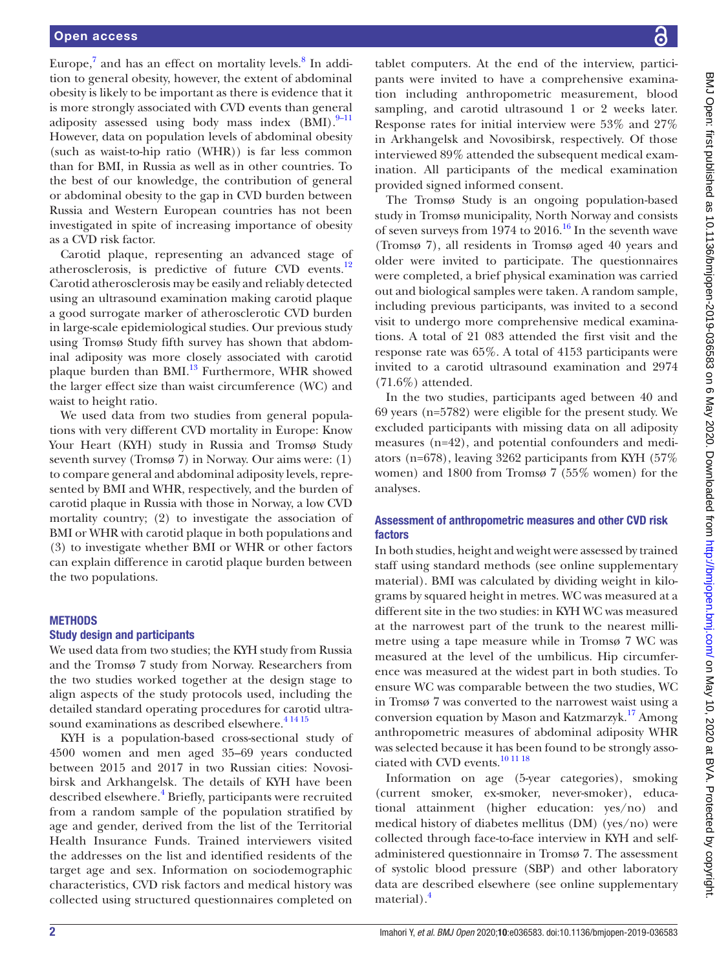Europe,<sup>7</sup> and has an effect on mortality levels.<sup>[8](#page-7-6)</sup> In addition to general obesity, however, the extent of abdominal obesity is likely to be important as there is evidence that it is more strongly associated with CVD events than general adiposity assessed using body mass index  $(BMI).^{9-11}$ However, data on population levels of abdominal obesity (such as waist-to-hip ratio (WHR)) is far less common than for BMI, in Russia as well as in other countries. To the best of our knowledge, the contribution of general or abdominal obesity to the gap in CVD burden between Russia and Western European countries has not been investigated in spite of increasing importance of obesity as a CVD risk factor.

Carotid plaque, representing an advanced stage of atherosclerosis, is predictive of future CVD events.<sup>[12](#page-7-8)</sup> Carotid atherosclerosis may be easily and reliably detected using an ultrasound examination making carotid plaque a good surrogate marker of atherosclerotic CVD burden in large-scale epidemiological studies. Our previous study using Tromsø Study fifth survey has shown that abdominal adiposity was more closely associated with carotid plaque burden than BMI.<sup>13</sup> Furthermore, WHR showed the larger effect size than waist circumference (WC) and waist to height ratio.

We used data from two studies from general populations with very different CVD mortality in Europe: Know Your Heart (KYH) study in Russia and Tromsø Study seventh survey (Tromsø 7) in Norway. Our aims were: (1) to compare general and abdominal adiposity levels, represented by BMI and WHR, respectively, and the burden of carotid plaque in Russia with those in Norway, a low CVD mortality country; (2) to investigate the association of BMI or WHR with carotid plaque in both populations and (3) to investigate whether BMI or WHR or other factors can explain difference in carotid plaque burden between the two populations.

#### **METHODS**

#### Study design and participants

We used data from two studies; the KYH study from Russia and the Tromsø 7 study from Norway. Researchers from the two studies worked together at the design stage to align aspects of the study protocols used, including the detailed standard operating procedures for carotid ultrasound examinations as described elsewhere.<sup>41411</sup>

KYH is a population-based cross-sectional study of 4500 women and men aged 35–69 years conducted between 2015 and 2017 in two Russian cities: Novosibirsk and Arkhangelsk. The details of KYH have been described elsewhere.<sup>[4](#page-7-3)</sup> Briefly, participants were recruited from a random sample of the population stratified by age and gender, derived from the list of the Territorial Health Insurance Funds. Trained interviewers visited the addresses on the list and identified residents of the target age and sex. Information on sociodemographic characteristics, CVD risk factors and medical history was collected using structured questionnaires completed on

tablet computers. At the end of the interview, participants were invited to have a comprehensive examination including anthropometric measurement, blood sampling, and carotid ultrasound 1 or 2 weeks later. Response rates for initial interview were 53% and 27% in Arkhangelsk and Novosibirsk, respectively. Of those interviewed 89% attended the subsequent medical examination. All participants of the medical examination provided signed informed consent.

The Tromsø Study is an ongoing population-based study in Tromsø municipality, North Norway and consists of seven surveys from  $1974$  to  $2016<sup>16</sup>$  In the seventh wave (Tromsø 7), all residents in Tromsø aged 40 years and older were invited to participate. The questionnaires were completed, a brief physical examination was carried out and biological samples were taken. A random sample, including previous participants, was invited to a second visit to undergo more comprehensive medical examinations. A total of 21 083 attended the first visit and the response rate was 65%. A total of 4153 participants were invited to a carotid ultrasound examination and 2974 (71.6%) attended.

In the two studies, participants aged between 40 and 69 years (n=5782) were eligible for the present study. We excluded participants with missing data on all adiposity measures (n=42), and potential confounders and mediators (n=678), leaving 3262 participants from KYH (57% women) and 1800 from Tromsø 7 (55% women) for the analyses.

## Assessment of anthropometric measures and other CVD risk factors

In both studies, height and weight were assessed by trained staff using standard methods (see [online supplementary](https://dx.doi.org/10.1136/bmjopen-2019-036583)  [material\)](https://dx.doi.org/10.1136/bmjopen-2019-036583). BMI was calculated by dividing weight in kilograms by squared height in metres. WC was measured at a different site in the two studies: in KYH WC was measured at the narrowest part of the trunk to the nearest millimetre using a tape measure while in Tromsø 7 WC was measured at the level of the umbilicus. Hip circumference was measured at the widest part in both studies. To ensure WC was comparable between the two studies, WC in Tromsø 7 was converted to the narrowest waist using a conversion equation by Mason and Katzmarzyk.[17](#page-7-11) Among anthropometric measures of abdominal adiposity WHR was selected because it has been found to be strongly associated with CVD events.[10 11 18](#page-7-12)

Information on age (5-year categories), smoking (current smoker, ex-smoker, never-smoker), educational attainment (higher education: yes/no) and medical history of diabetes mellitus (DM) (yes/no) were collected through face-to-face interview in KYH and selfadministered questionnaire in Tromsø 7. The assessment of systolic blood pressure (SBP) and other laboratory data are described elsewhere (see [online supplementary](https://dx.doi.org/10.1136/bmjopen-2019-036583)  [material\)](https://dx.doi.org/10.1136/bmjopen-2019-036583).<sup>[4](#page-7-3)</sup>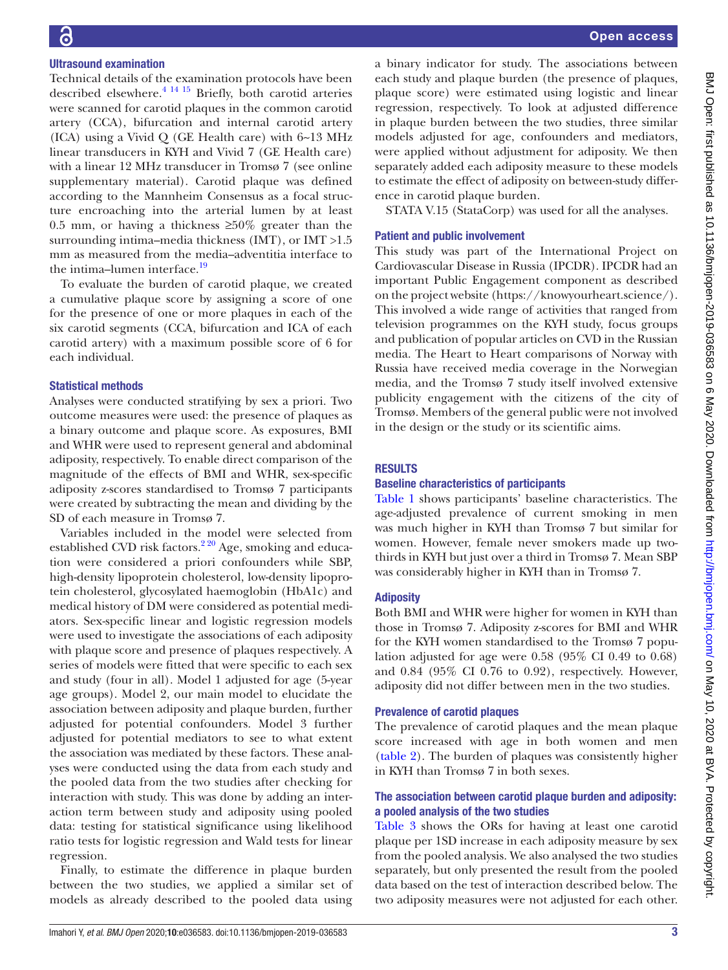## Ultrasound examination

Technical details of the examination protocols have been described elsewhere.[4 14 15](#page-7-3) Briefly, both carotid arteries were scanned for carotid plaques in the common carotid artery (CCA), bifurcation and internal carotid artery (ICA) using a Vivid Q (GE Health care) with  $6\negthinspace\negthinspace-13$  MHz linear transducers in KYH and Vivid 7 (GE Health care) with a linear 12 MHz transducer in Tromsø 7 (see [online](https://dx.doi.org/10.1136/bmjopen-2019-036583) [supplementary material](https://dx.doi.org/10.1136/bmjopen-2019-036583)). Carotid plaque was defined according to the Mannheim Consensus as a focal structure encroaching into the arterial lumen by at least 0.5 mm, or having a thickness  $\geq 50\%$  greater than the surrounding intima–media thickness (IMT), or IMT >1.5 mm as measured from the media–adventitia interface to the intima–lumen interface.[19](#page-7-13)

To evaluate the burden of carotid plaque, we created a cumulative plaque score by assigning a score of one for the presence of one or more plaques in each of the six carotid segments (CCA, bifurcation and ICA of each carotid artery) with a maximum possible score of 6 for each individual.

## Statistical methods

Analyses were conducted stratifying by sex a priori. Two outcome measures were used: the presence of plaques as a binary outcome and plaque score. As exposures, BMI and WHR were used to represent general and abdominal adiposity, respectively. To enable direct comparison of the magnitude of the effects of BMI and WHR, sex-specific adiposity z-scores standardised to Tromsø 7 participants were created by subtracting the mean and dividing by the SD of each measure in Tromsø 7.

Variables included in the model were selected from established CVD risk factors.<sup>2 20</sup> Age, smoking and education were considered a priori confounders while SBP, high-density lipoprotein cholesterol, low-density lipoprotein cholesterol, glycosylated haemoglobin (HbA1c) and medical history of DM were considered as potential mediators. Sex-specific linear and logistic regression models were used to investigate the associations of each adiposity with plaque score and presence of plaques respectively. A series of models were fitted that were specific to each sex and study (four in all). Model 1 adjusted for age (5-year age groups). Model 2, our main model to elucidate the association between adiposity and plaque burden, further adjusted for potential confounders. Model 3 further adjusted for potential mediators to see to what extent the association was mediated by these factors. These analyses were conducted using the data from each study and the pooled data from the two studies after checking for interaction with study. This was done by adding an interaction term between study and adiposity using pooled data: testing for statistical significance using likelihood ratio tests for logistic regression and Wald tests for linear regression.

Finally, to estimate the difference in plaque burden between the two studies, we applied a similar set of models as already described to the pooled data using

a binary indicator for study. The associations between each study and plaque burden (the presence of plaques, plaque score) were estimated using logistic and linear regression, respectively. To look at adjusted difference in plaque burden between the two studies, three similar models adjusted for age, confounders and mediators, were applied without adjustment for adiposity. We then separately added each adiposity measure to these models to estimate the effect of adiposity on between-study difference in carotid plaque burden.

STATA V.15 (StataCorp) was used for all the analyses.

#### Patient and public involvement

This study was part of the International Project on Cardiovascular Disease in Russia (IPCDR). IPCDR had an important Public Engagement component as described on the project website [\(https://knowyourheart.science/\)](https://knowyourheart.science/). This involved a wide range of activities that ranged from television programmes on the KYH study, focus groups and publication of popular articles on CVD in the Russian media. The Heart to Heart comparisons of Norway with Russia have received media coverage in the Norwegian media, and the Tromsø 7 study itself involved extensive publicity engagement with the citizens of the city of Tromsø. Members of the general public were not involved in the design or the study or its scientific aims.

#### **RESULTS**

#### Baseline characteristics of participants

[Table](#page-3-0) 1 shows participants' baseline characteristics. The age-adjusted prevalence of current smoking in men was much higher in KYH than Tromsø 7 but similar for women. However, female never smokers made up twothirds in KYH but just over a third in Tromsø 7. Mean SBP was considerably higher in KYH than in Tromsø 7.

### **Adiposity**

Both BMI and WHR were higher for women in KYH than those in Tromsø 7. Adiposity z-scores for BMI and WHR for the KYH women standardised to the Tromsø 7 population adjusted for age were 0.58 (95% CI 0.49 to 0.68) and 0.84 (95% CI 0.76 to 0.92), respectively. However, adiposity did not differ between men in the two studies.

## Prevalence of carotid plaques

The prevalence of carotid plaques and the mean plaque score increased with age in both women and men [\(table](#page-4-0) 2). The burden of plaques was consistently higher in KYH than Tromsø 7 in both sexes.

## The association between carotid plaque burden and adiposity: a pooled analysis of the two studies

[Table](#page-4-1) 3 shows the ORs for having at least one carotid plaque per 1SD increase in each adiposity measure by sex from the pooled analysis. We also analysed the two studies separately, but only presented the result from the pooled data based on the test of interaction described below. The two adiposity measures were not adjusted for each other.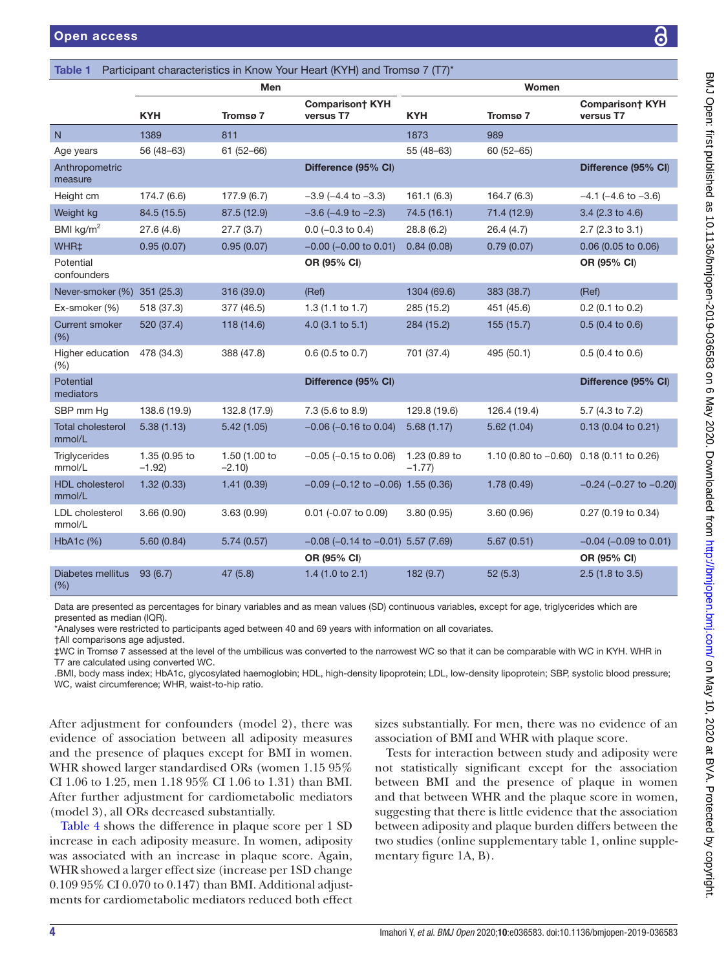<span id="page-3-0"></span>

| Participant characteristics in Know Your Heart (KYH) and Tromsø 7 (T7)*<br><b>Table 1</b> |                          |                          |                                            |                          |                                             |                                     |  |
|-------------------------------------------------------------------------------------------|--------------------------|--------------------------|--------------------------------------------|--------------------------|---------------------------------------------|-------------------------------------|--|
|                                                                                           | Men                      |                          |                                            | Women                    |                                             |                                     |  |
|                                                                                           | <b>KYH</b>               | Tromsø 7                 | <b>Comparison† KYH</b><br>versus T7        | <b>KYH</b>               | Tromsø 7                                    | <b>Comparison† KYH</b><br>versus T7 |  |
| $\mathsf{N}$                                                                              | 1389                     | 811                      |                                            | 1873                     | 989                                         |                                     |  |
| Age years                                                                                 | 56 (48-63)               | 61 (52-66)               |                                            | 55 (48-63)               | $60(52 - 65)$                               |                                     |  |
| Anthropometric<br>measure                                                                 |                          |                          | Difference (95% CI)                        |                          |                                             | Difference (95% CI)                 |  |
| Height cm                                                                                 | 174.7 (6.6)              | 177.9 (6.7)              | $-3.9$ ( $-4.4$ to $-3.3$ )                | 161.1(6.3)               | 164.7(6.3)                                  | $-4.1$ ( $-4.6$ to $-3.6$ )         |  |
| Weight kg                                                                                 | 84.5 (15.5)              | 87.5 (12.9)              | $-3.6$ ( $-4.9$ to $-2.3$ )                | 74.5(16.1)               | 71.4 (12.9)                                 | 3.4 (2.3 to 4.6)                    |  |
| BMI kg/m <sup>2</sup>                                                                     | 27.6(4.6)                | 27.7(3.7)                | $0.0$ (-0.3 to 0.4)                        | 28.8(6.2)                | 26.4(4.7)                                   | 2.7 (2.3 to 3.1)                    |  |
| WHR <sub>‡</sub>                                                                          | 0.95(0.07)               | 0.95(0.07)               | $-0.00$ ( $-0.00$ to 0.01)                 | 0.84(0.08)               | 0.79(0.07)                                  | 0.06 (0.05 to 0.06)                 |  |
| Potential<br>confounders                                                                  |                          |                          | OR (95% CI)                                |                          |                                             | OR (95% CI)                         |  |
| Never-smoker (%) 351 (25.3)                                                               |                          | 316 (39.0)               | (Ref)                                      | 1304 (69.6)              | 383 (38.7)                                  | (Ref)                               |  |
| Ex-smoker (%)                                                                             | 518 (37.3)               | 377 (46.5)               | 1.3(1.1 to 1.7)                            | 285 (15.2)               | 451 (45.6)                                  | $0.2$ (0.1 to 0.2)                  |  |
| <b>Current smoker</b><br>$(\%)$                                                           | 520 (37.4)               | 118 (14.6)               | $4.0$ (3.1 to 5.1)                         | 284 (15.2)               | 155(15.7)                                   | $0.5$ (0.4 to 0.6)                  |  |
| Higher education<br>(% )                                                                  | 478 (34.3)               | 388 (47.8)               | $0.6$ (0.5 to 0.7)                         | 701 (37.4)               | 495 (50.1)                                  | 0.5(0.4 to 0.6)                     |  |
| Potential<br>mediators                                                                    |                          |                          | Difference (95% CI)                        |                          |                                             | Difference (95% CI)                 |  |
| SBP mm Hg                                                                                 | 138.6 (19.9)             | 132.8 (17.9)             | 7.3 (5.6 to 8.9)                           | 129.8 (19.6)             | 126.4 (19.4)                                | 5.7 (4.3 to 7.2)                    |  |
| <b>Total cholesterol</b><br>mmol/L                                                        | 5.38(1.13)               | 5.42(1.05)               | $-0.06$ ( $-0.16$ to 0.04)                 | 5.68(1.17)               | 5.62(1.04)                                  | $0.13$ (0.04 to 0.21)               |  |
| Triglycerides<br>mmol/L                                                                   | 1.35 (0.95 to<br>$-1.92$ | 1.50 (1.00 to<br>$-2.10$ | $-0.05$ ( $-0.15$ to 0.06)                 | 1.23 (0.89 to<br>$-1.77$ | 1.10 (0.80 to $-0.60$ ) 0.18 (0.11 to 0.26) |                                     |  |
| <b>HDL</b> cholesterol<br>mmol/L                                                          | 1.32(0.33)               | 1.41(0.39)               | $-0.09$ ( $-0.12$ to $-0.06$ ) 1.55 (0.36) |                          | 1.78(0.49)                                  | $-0.24$ (-0.27 to $-0.20$ )         |  |
| LDL cholesterol<br>mmol/L                                                                 | 3.66(0.90)               | 3.63(0.99)               | 0.01 (-0.07 to 0.09)                       | 3.80(0.95)               | 3.60(0.96)                                  | 0.27 (0.19 to 0.34)                 |  |
| HbA1c (%)                                                                                 | 5.60(0.84)               | 5.74(0.57)               | $-0.08$ ( $-0.14$ to $-0.01$ ) 5.57 (7.69) |                          | 5.67(0.51)                                  | $-0.04$ ( $-0.09$ to 0.01)          |  |
|                                                                                           |                          |                          | OR (95% CI)                                |                          |                                             | OR (95% CI)                         |  |
| Diabetes mellitus<br>(% )                                                                 | 93(6.7)                  | 47 (5.8)                 | $1.4$ (1.0 to 2.1)                         | 182 (9.7)                | 52(5.3)                                     | 2.5 (1.8 to 3.5)                    |  |

Data are presented as percentages for binary variables and as mean values (SD) continuous variables, except for age, triglycerides which are presented as median (IQR).

\*Analyses were restricted to participants aged between 40 and 69 years with information on all covariates.

†All comparisons age adjusted.

‡WC in Tromsø 7 assessed at the level of the umbilicus was converted to the narrowest WC so that it can be comparable with WC in KYH. WHR in T7 are calculated using converted WC.

.BMI, body mass index; HbA1c, glycosylated haemoglobin; HDL, high-density lipoprotein; LDL, low-density lipoprotein; SBP, systolic blood pressure; WC, waist circumference; WHR, waist-to-hip ratio.

After adjustment for confounders (model 2), there was evidence of association between all adiposity measures and the presence of plaques except for BMI in women. WHR showed larger standardised ORs (women 1.15 95% CI 1.06 to 1.25, men 1.18 95% CI 1.06 to 1.31) than BMI. After further adjustment for cardiometabolic mediators (model 3), all ORs decreased substantially.

[Table](#page-5-0) 4 shows the difference in plaque score per 1 SD increase in each adiposity measure. In women, adiposity was associated with an increase in plaque score. Again, WHR showed a larger effect size (increase per 1SD change 0.109 95% CI 0.070 to 0.147) than BMI. Additional adjustments for cardiometabolic mediators reduced both effect

sizes substantially. For men, there was no evidence of an association of BMI and WHR with plaque score.

Tests for interaction between study and adiposity were not statistically significant except for the association between BMI and the presence of plaque in women and that between WHR and the plaque score in women, suggesting that there is little evidence that the association between adiposity and plaque burden differs between the two studies [\(online supplementary table 1, online supple](https://dx.doi.org/10.1136/bmjopen-2019-036583)[mentary figure 1A, B](https://dx.doi.org/10.1136/bmjopen-2019-036583)).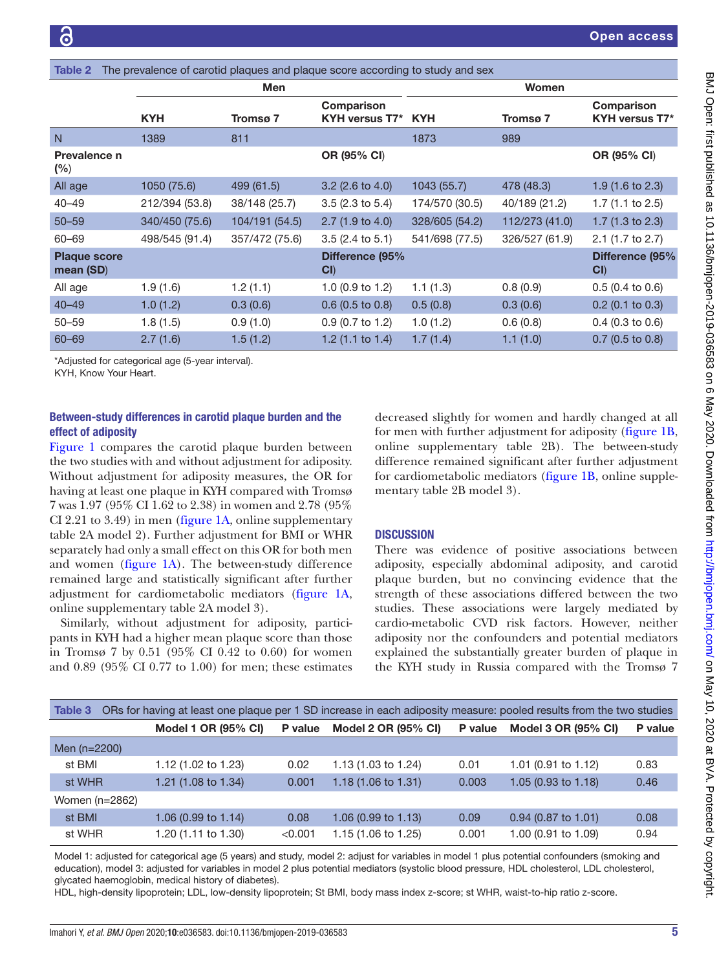<span id="page-4-0"></span>

| The prevalence of carotid plaques and plaque score according to study and sex<br>Table 2 |                |                |                              |                |                |                                     |
|------------------------------------------------------------------------------------------|----------------|----------------|------------------------------|----------------|----------------|-------------------------------------|
|                                                                                          | Men            |                |                              | Women          |                |                                     |
|                                                                                          | <b>KYH</b>     | Tromsø 7       | Comparison<br>KYH versus T7* | <b>KYH</b>     | Tromsø 7       | Comparison<br><b>KYH versus T7*</b> |
| $\mathsf{N}$                                                                             | 1389           | 811            |                              | 1873           | 989            |                                     |
| Prevalence n<br>(%)                                                                      |                |                | OR (95% CI)                  |                |                | OR (95% CI)                         |
| All age                                                                                  | 1050 (75.6)    | 499 (61.5)     | $3.2(2.6 \text{ to } 4.0)$   | 1043 (55.7)    | 478 (48.3)     | $1.9(1.6 \text{ to } 2.3)$          |
| $40 - 49$                                                                                | 212/394 (53.8) | 38/148 (25.7)  | $3.5(2.3 \text{ to } 5.4)$   | 174/570 (30.5) | 40/189 (21.2)  | 1.7 $(1.1 \text{ to } 2.5)$         |
| $50 - 59$                                                                                | 340/450 (75.6) | 104/191 (54.5) | $2.7(1.9 \text{ to } 4.0)$   | 328/605 (54.2) | 112/273 (41.0) | 1.7 $(1.3 \text{ to } 2.3)$         |
| 60-69                                                                                    | 498/545 (91.4) | 357/472 (75.6) | $3.5(2.4 \text{ to } 5.1)$   | 541/698 (77.5) | 326/527 (61.9) | 2.1 (1.7 to 2.7)                    |
| <b>Plaque score</b><br>mean (SD)                                                         |                |                | Difference (95%<br>CI()      |                |                | Difference (95%<br>CI()             |
| All age                                                                                  | 1.9(1.6)       | 1.2(1.1)       | 1.0 (0.9 to 1.2)             | 1.1(1.3)       | 0.8(0.9)       | $0.5(0.4 \text{ to } 0.6)$          |
| $40 - 49$                                                                                | 1.0(1.2)       | 0.3(0.6)       | $0.6$ (0.5 to 0.8)           | 0.5(0.8)       | 0.3(0.6)       | $0.2$ (0.1 to 0.3)                  |
| $50 - 59$                                                                                | 1.8(1.5)       | 0.9(1.0)       | $0.9$ (0.7 to 1.2)           | 1.0(1.2)       | 0.6(0.8)       | $0.4$ (0.3 to 0.6)                  |
| 60-69                                                                                    | 2.7(1.6)       | 1.5(1.2)       | $1.2(1.1 \text{ to } 1.4)$   | 1.7(1.4)       | 1.1(1.0)       | $0.7$ (0.5 to 0.8)                  |

\*Adjusted for categorical age (5-year interval).

KYH, Know Your Heart.

## Between-study differences in carotid plaque burden and the effect of adiposity

[Figure](#page-5-1) 1 compares the carotid plaque burden between the two studies with and without adjustment for adiposity. Without adjustment for adiposity measures, the OR for having at least one plaque in KYH compared with Tromsø 7 was 1.97 (95% CI 1.62 to 2.38) in women and 2.78 (95% CI 2.21 to 3.49) in men ([figure](#page-5-1) 1A, [online supplementary](https://dx.doi.org/10.1136/bmjopen-2019-036583) [table 2A model 2\)](https://dx.doi.org/10.1136/bmjopen-2019-036583). Further adjustment for BMI or WHR separately had only a small effect on this OR for both men and women [\(figure](#page-5-1) 1A). The between-study difference remained large and statistically significant after further adjustment for cardiometabolic mediators [\(figure](#page-5-1) 1A, [online supplementary table 2A model 3\)](https://dx.doi.org/10.1136/bmjopen-2019-036583).

Similarly, without adjustment for adiposity, participants in KYH had a higher mean plaque score than those in Tromsø 7 by 0.51 (95% CI 0.42 to 0.60) for women and 0.89 (95% CI 0.77 to 1.00) for men; these estimates

decreased slightly for women and hardly changed at all for men with further adjustment for adiposity ([figure](#page-5-1) 1B, [online supplementary table 2B\)](https://dx.doi.org/10.1136/bmjopen-2019-036583). The between-study difference remained significant after further adjustment for cardiometabolic mediators ([figure](#page-5-1) 1B, [online supple](https://dx.doi.org/10.1136/bmjopen-2019-036583)[mentary table 2B model 3](https://dx.doi.org/10.1136/bmjopen-2019-036583)).

## **DISCUSSION**

There was evidence of positive associations between adiposity, especially abdominal adiposity, and carotid plaque burden, but no convincing evidence that the strength of these associations differed between the two studies. These associations were largely mediated by cardio-metabolic CVD risk factors. However, neither adiposity nor the confounders and potential mediators explained the substantially greater burden of plaque in the KYH study in Russia compared with the Tromsø 7

<span id="page-4-1"></span>

| ORs for having at least one plague per 1 SD increase in each adiposity measure: pooled results from the two studies<br>Table 3 |                                |         |                                |         |                       |         |  |
|--------------------------------------------------------------------------------------------------------------------------------|--------------------------------|---------|--------------------------------|---------|-----------------------|---------|--|
|                                                                                                                                | Model 1 OR (95% CI)            | P value | Model 2 OR (95% CI)            | P value | Model 3 OR (95% CI)   | P value |  |
| Men $(n=2200)$                                                                                                                 |                                |         |                                |         |                       |         |  |
| st BMI                                                                                                                         | 1.12 (1.02 to 1.23)            | 0.02    | 1.13 (1.03 to 1.24)            | 0.01    | 1.01 (0.91 to 1.12)   | 0.83    |  |
| st WHR                                                                                                                         | 1.21 (1.08 to 1.34)            | 0.001   | $1.18(1.06 \text{ to } 1.31)$  | 0.003   | 1.05 (0.93 to 1.18)   | 0.46    |  |
| Women (n=2862)                                                                                                                 |                                |         |                                |         |                       |         |  |
| st BMI                                                                                                                         | 1.06 $(0.99 \text{ to } 1.14)$ | 0.08    | 1.06 $(0.99 \text{ to } 1.13)$ | 0.09    | $0.94$ (0.87 to 1.01) | 0.08    |  |
| st WHR                                                                                                                         | 1.20 (1.11 to 1.30)            | < 0.001 | 1.15 (1.06 to 1.25)            | 0.001   | 1.00 (0.91 to 1.09)   | 0.94    |  |

Model 1: adjusted for categorical age (5 years) and study, model 2: adjust for variables in model 1 plus potential confounders (smoking and education), model 3: adjusted for variables in model 2 plus potential mediators (systolic blood pressure, HDL cholesterol, LDL cholesterol, glycated haemoglobin, medical history of diabetes).

HDL, high-density lipoprotein; LDL, low-density lipoprotein; St BMI, body mass index z-score; st WHR, waist-to-hip ratio z-score.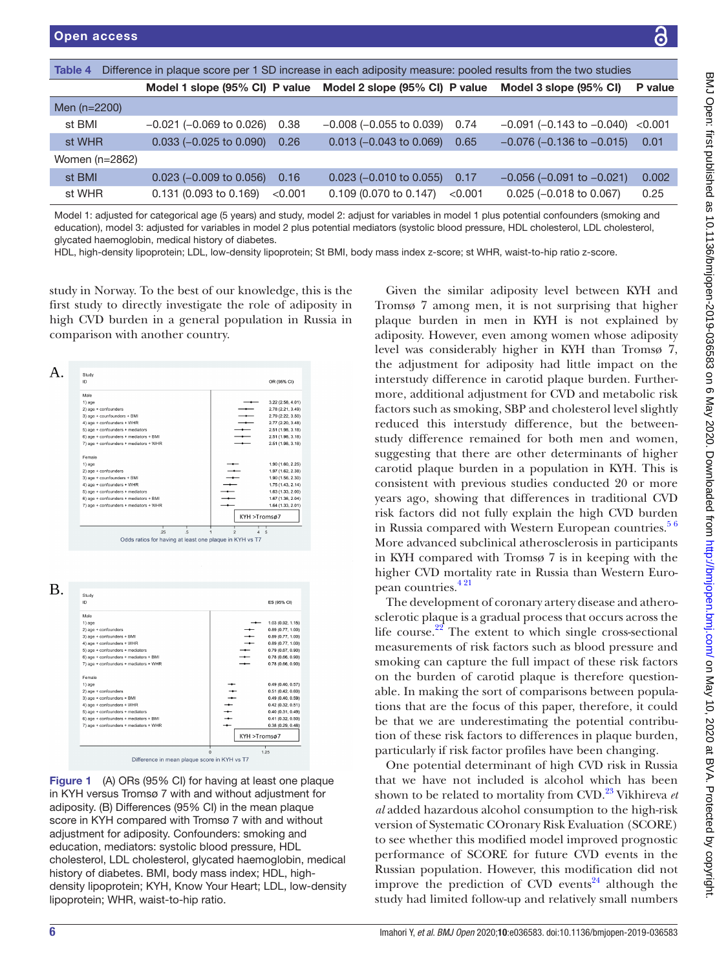<span id="page-5-0"></span>

| Difference in plaque score per 1 SD increase in each adiposity measure: pooled results from the two studies<br>Table 4 |  |                                |         |                                |         |                                    |         |
|------------------------------------------------------------------------------------------------------------------------|--|--------------------------------|---------|--------------------------------|---------|------------------------------------|---------|
|                                                                                                                        |  | Model 1 slope (95% CI) P value |         | Model 2 slope (95% CI) P value |         | Model 3 slope (95% CI)             | P value |
| Men $(n=2200)$                                                                                                         |  |                                |         |                                |         |                                    |         |
| st BMI                                                                                                                 |  | $-0.021$ ( $-0.069$ to 0.026)  | 0.38    | $-0.008$ ( $-0.055$ to 0.039)  | 0.74    | $-0.091$ ( $-0.143$ to $-0.040$ )  | < 0.001 |
| st WHR                                                                                                                 |  | $0.033$ (-0.025 to 0.090)      | 0.26    | $0.013$ (-0.043 to 0.069)      | 0.65    | $-0.076$ ( $-0.136$ to $-0.015$ )  | 0.01    |
| Women $(n=2862)$                                                                                                       |  |                                |         |                                |         |                                    |         |
| st BMI                                                                                                                 |  | $0.023$ (-0.009 to 0.056)      | 0.16    | $0.023$ (-0.010 to 0.055)      | 0.17    | $-0.056$ ( $-0.091$ to $-0.021$ )  | 0.002   |
| st WHR                                                                                                                 |  | 0.131(0.093 to 0.169)          | < 0.001 | $0.109$ (0.070 to 0.147)       | < 0.001 | $0.025 (-0.018 \text{ to } 0.067)$ | 0.25    |

Model 1: adjusted for categorical age (5 years) and study, model 2: adjust for variables in model 1 plus potential confounders (smoking and education), model 3: adjusted for variables in model 2 plus potential mediators (systolic blood pressure, HDL cholesterol, LDL cholesterol, glycated haemoglobin, medical history of diabetes.

HDL, high-density lipoprotein; LDL, low-density lipoprotein; St BMI, body mass index z-score; st WHR, waist-to-hip ratio z-score.

study in Norway. To the best of our knowledge, this is the first study to directly investigate the role of adiposity in high CVD burden in a general population in Russia in comparison with another country.

| Study                                                   |                |                   |
|---------------------------------------------------------|----------------|-------------------|
| ID                                                      |                | OR (95% CI)       |
| Male                                                    |                |                   |
| $1)$ age                                                |                | 3.22 (2.58, 4.01) |
| 2) age + confounders                                    |                | 2.78 (2.21, 3.49) |
| 3) age + counfounders + BMI                             |                | 2.79 (2.22, 3.50) |
| 4) age + confounders + WHR                              |                | 2.77 (2.20, 3.48) |
| 5) age + confounders + mediators                        |                | 2.51 (1.98, 3.18) |
| 6) age + confounders + mediators + BMI                  |                | 2.51 (1.98, 3.18) |
| 7) age + confounders + mediators + WHR                  |                | 2.51 (1.98, 3.18) |
| Female                                                  |                |                   |
| 1) age                                                  |                | 1.90 (1.60, 2.25) |
| 2) age + confounders                                    |                | 1.97 (1.62, 2.38) |
| 3) age + counfounders + BMI                             |                | 1.90 (1.56, 2.30) |
| 4) age + confounders + WHR                              |                | 1.75 (1.43, 2.14) |
| 5) age + confounders + mediators                        |                | 1.63 (1.33, 2.00) |
| 6) age + confounders + mediators + BMI                  |                | 1.67 (1.36, 2.04) |
| 7) age + confounders + mediators + WHR                  |                | 1.64 (1.33, 2.01) |
|                                                         | KYH >Tromsø7   |                   |
| .25<br>.5                                               | $\overline{c}$ | 5                 |
| Odds ratios for having at least one plaque in KYH vs T7 |                |                   |

| Study                                  |         |                   |
|----------------------------------------|---------|-------------------|
| ID                                     |         | ES (95% CI)       |
| Male                                   |         |                   |
| 1) age                                 |         | 1.03 (0.92, 1.15) |
| 2) age + confounders                   |         | 0.89(0.77, 1.00)  |
| 3) age + confounders + BMI             |         | 0.89(0.77, 1.00)  |
| 4) age + confounders + WHR             |         | 0.89(0.77, 1.00)  |
| 5) age + confounders + mediators       |         | 0.79(0.67, 0.90)  |
| 6) age + confounders + mediators + BMI |         | 0.78(0.66, 0.90)  |
| 7) age + confounders + mediators + WHR |         | 0.78(0.66, 0.90)  |
| Female                                 |         |                   |
| $1)$ age                               |         | 0.49(0.40, 0.57)  |
| 2) age + confounders                   |         | 0.51(0.42, 0.60)  |
| 3) age + confounders + BMI             |         | 0.49(0.40, 0.59)  |
| 4) age + confounders + WHR             |         | 0.42(0.32, 0.51)  |
| 5) age + confounders + mediators       |         | 0.40(0.31, 0.49)  |
| 6) age + confounders + mediators + BMI |         | 0.41(0.32, 0.50)  |
| 7) age + confounders + mediators + WHR |         | 0.38(0.29, 0.48)  |
|                                        |         | KYH >Tromsø7      |
|                                        | $\circ$ | 1.25              |

Difference in mean plaque score in KYH vs T7

<span id="page-5-1"></span>Figure 1 (A) ORs (95% CI) for having at least one plaque in KYH versus Tromsø 7 with and without adjustment for adiposity. (B) Differences (95% CI) in the mean plaque score in KYH compared with Tromsø 7 with and without adjustment for adiposity. Confounders: smoking and education, mediators: systolic blood pressure, HDL cholesterol, LDL cholesterol, glycated haemoglobin, medical history of diabetes. BMI, body mass index; HDL, highdensity lipoprotein; KYH, Know Your Heart; LDL, low-density lipoprotein; WHR, waist-to-hip ratio.

Given the similar adiposity level between KYH and Tromsø 7 among men, it is not surprising that higher plaque burden in men in KYH is not explained by adiposity. However, even among women whose adiposity level was considerably higher in KYH than Tromsø 7, the adjustment for adiposity had little impact on the interstudy difference in carotid plaque burden. Furthermore, additional adjustment for CVD and metabolic risk factors such as smoking, SBP and cholesterol level slightly reduced this interstudy difference, but the betweenstudy difference remained for both men and women, suggesting that there are other determinants of higher carotid plaque burden in a population in KYH. This is consistent with previous studies conducted 20 or more years ago, showing that differences in traditional CVD risk factors did not fully explain the high CVD burden in Russia compared with Western European countries. $56$ More advanced subclinical atherosclerosis in participants in KYH compared with Tromsø 7 is in keeping with the higher CVD mortality rate in Russia than Western European countries.[4 21](#page-7-3)

The development of coronary artery disease and atherosclerotic plaque is a gradual process that occurs across the life course.<sup>22</sup> The extent to which single cross-sectional measurements of risk factors such as blood pressure and smoking can capture the full impact of these risk factors on the burden of carotid plaque is therefore questionable. In making the sort of comparisons between populations that are the focus of this paper, therefore, it could be that we are underestimating the potential contribution of these risk factors to differences in plaque burden, particularly if risk factor profiles have been changing.

One potential determinant of high CVD risk in Russia that we have not included is alcohol which has been shown to be related to mortality from CVD.<sup>23</sup> Vikhireva *et al* added hazardous alcohol consumption to the high-risk version of Systematic COronary Risk Evaluation (SCORE) to see whether this modified model improved prognostic performance of SCORE for future CVD events in the Russian population. However, this modification did not improve the prediction of CVD events<sup>24</sup> although the study had limited follow-up and relatively small numbers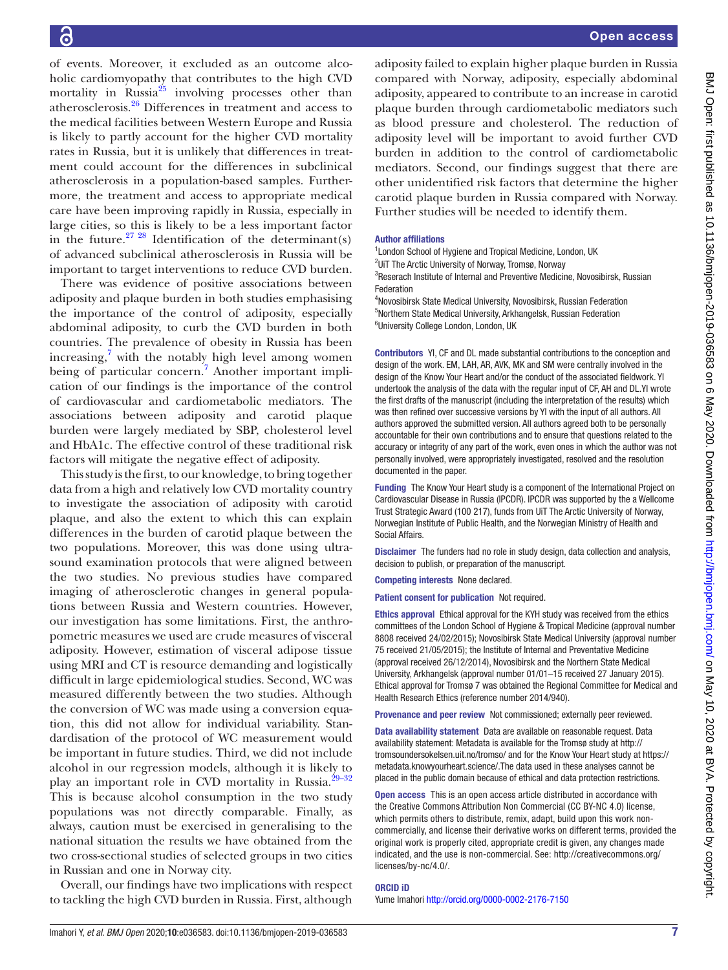of events. Moreover, it excluded as an outcome alcoholic cardiomyopathy that contributes to the high CVD mortality in Russia $^{25}$  $^{25}$  $^{25}$  involving processes other than atherosclerosis[.26](#page-7-18) Differences in treatment and access to the medical facilities between Western Europe and Russia is likely to partly account for the higher CVD mortality rates in Russia, but it is unlikely that differences in treatment could account for the differences in subclinical atherosclerosis in a population-based samples. Furthermore, the treatment and access to appropriate medical care have been improving rapidly in Russia, especially in large cities, so this is likely to be a less important factor in the future.<sup>27</sup> <sup>28</sup> Identification of the determinant(s) of advanced subclinical atherosclerosis in Russia will be important to target interventions to reduce CVD burden.

There was evidence of positive associations between adiposity and plaque burden in both studies emphasising the importance of the control of adiposity, especially abdominal adiposity, to curb the CVD burden in both countries. The prevalence of obesity in Russia has been increasing, $\frac{7}{7}$  $\frac{7}{7}$  $\frac{7}{7}$  with the notably high level among women being of particular concern.<sup>[7](#page-7-5)</sup> Another important implication of our findings is the importance of the control of cardiovascular and cardiometabolic mediators. The associations between adiposity and carotid plaque burden were largely mediated by SBP, cholesterol level and HbA1c. The effective control of these traditional risk factors will mitigate the negative effect of adiposity.

This study is the first, to our knowledge, to bring together data from a high and relatively low CVD mortality country to investigate the association of adiposity with carotid plaque, and also the extent to which this can explain differences in the burden of carotid plaque between the two populations. Moreover, this was done using ultrasound examination protocols that were aligned between the two studies. No previous studies have compared imaging of atherosclerotic changes in general populations between Russia and Western countries. However, our investigation has some limitations. First, the anthropometric measures we used are crude measures of visceral adiposity. However, estimation of visceral adipose tissue using MRI and CT is resource demanding and logistically difficult in large epidemiological studies. Second, WC was measured differently between the two studies. Although the conversion of WC was made using a conversion equation, this did not allow for individual variability. Standardisation of the protocol of WC measurement would be important in future studies. Third, we did not include alcohol in our regression models, although it is likely to play an important role in CVD mortality in Russia.<sup>29-32</sup> This is because alcohol consumption in the two study populations was not directly comparable. Finally, as always, caution must be exercised in generalising to the national situation the results we have obtained from the two cross-sectional studies of selected groups in two cities in Russian and one in Norway city.

Overall, our findings have two implications with respect to tackling the high CVD burden in Russia. First, although

adiposity failed to explain higher plaque burden in Russia compared with Norway, adiposity, especially abdominal adiposity, appeared to contribute to an increase in carotid plaque burden through cardiometabolic mediators such as blood pressure and cholesterol. The reduction of adiposity level will be important to avoid further CVD burden in addition to the control of cardiometabolic mediators. Second, our findings suggest that there are other unidentified risk factors that determine the higher carotid plaque burden in Russia compared with Norway. Further studies will be needed to identify them.

#### Author affiliations

<sup>1</sup> London School of Hygiene and Tropical Medicine, London, UK <sup>2</sup>UiT The Arctic University of Norway, Tromsø, Norway <sup>3</sup>Reserach Institute of Internal and Preventive Medicine, Novosibirsk, Russian

Federation 4 Novosibirsk State Medical University, Novosibirsk, Russian Federation 5 Northern State Medical University, Arkhangelsk, Russian Federation <sup>6</sup>University College London, London, UK

Contributors YI, CF and DL made substantial contributions to the conception and design of the work. EM, LAH, AR, AVK, MK and SM were centrally involved in the design of the Know Your Heart and/or the conduct of the associated fieldwork. YI undertook the analysis of the data with the regular input of CF, AH and DL.YI wrote the first drafts of the manuscript (including the interpretation of the results) which was then refined over successive versions by YI with the input of all authors. All authors approved the submitted version. All authors agreed both to be personally accountable for their own contributions and to ensure that questions related to the accuracy or integrity of any part of the work, even ones in which the author was not personally involved, were appropriately investigated, resolved and the resolution documented in the paper.

Funding The Know Your Heart study is a component of the International Project on Cardiovascular Disease in Russia (IPCDR). IPCDR was supported by the a Wellcome Trust Strategic Award (100 217), funds from UiT The Arctic University of Norway, Norwegian Institute of Public Health, and the Norwegian Ministry of Health and Social Affairs.

Disclaimer The funders had no role in study design, data collection and analysis, decision to publish, or preparation of the manuscript.

Competing interests None declared.

Patient consent for publication Not required.

Ethics approval Ethical approval for the KYH study was received from the ethics committees of the London School of Hygiene & Tropical Medicine (approval number 8808 received 24/02/2015); Novosibirsk State Medical University (approval number 75 received 21/05/2015); the Institute of Internal and Preventative Medicine (approval received 26/12/2014), Novosibirsk and the Northern State Medical University, Arkhangelsk (approval number 01/01–15 received 27 January 2015). Ethical approval for Tromsø 7 was obtained the Regional Committee for Medical and Health Research Ethics (reference number 2014/940).

Provenance and peer review Not commissioned; externally peer reviewed.

Data availability statement Data are available on reasonable request. Data availability statement: Metadata is available for the Tromsø study at [http://](http://tromsoundersokelsen.uit.no/tromso/) [tromsoundersokelsen.uit.no/tromso/](http://tromsoundersokelsen.uit.no/tromso/) and for the Know Your Heart study at [https://](https://metadata.knowyourheart.science/) [metadata.knowyourheart.science/.](https://metadata.knowyourheart.science/)The data used in these analyses cannot be placed in the public domain because of ethical and data protection restrictions.

Open access This is an open access article distributed in accordance with the Creative Commons Attribution Non Commercial (CC BY-NC 4.0) license, which permits others to distribute, remix, adapt, build upon this work noncommercially, and license their derivative works on different terms, provided the original work is properly cited, appropriate credit is given, any changes made indicated, and the use is non-commercial. See: [http://creativecommons.org/](http://creativecommons.org/licenses/by-nc/4.0/) [licenses/by-nc/4.0/](http://creativecommons.org/licenses/by-nc/4.0/).

#### ORCID iD

Yume Imahori<http://orcid.org/0000-0002-2176-7150>